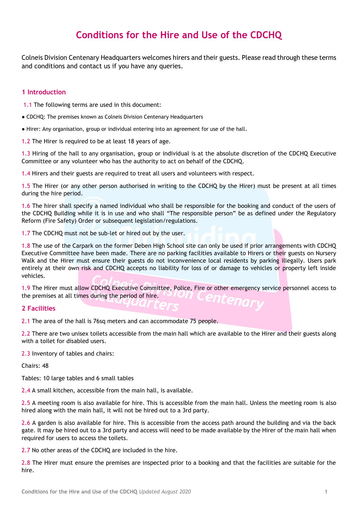# **Conditions for the Hire and Use of the CDCHQ**

Colneis Division Centenary Headquarters welcomes hirers and their guests. Please read through these terms and conditions and contact us if you have any queries.

# **1 Introduction**

1.1 The following terms are used in this document:

• CDCHQ: The premises known as Colneis Division Centenary Headquarters

● Hirer: Any organisation, group or individual entering into an agreement for use of the hall.

1.2 The Hirer is required to be at least 18 years of age.

1.3 Hiring of the hall to any organisation, group or individual is at the absolute discretion of the CDCHQ Executive Committee or any volunteer who has the authority to act on behalf of the CDCHQ.

1.4 Hirers and their guests are required to treat all users and volunteers with respect.

1.5 The Hirer (or any other person authorised in writing to the CDCHQ by the Hirer) must be present at all times during the hire period.

1.6 The hirer shall specify a named individual who shall be responsible for the booking and conduct of the users of the CDCHQ Building while it is in use and who shall "The responsible person" be as defined under the Regulatory Reform (Fire Safety) Order or subsequent legislation/regulations.

1.7 The CDCHQ must not be sub-let or hired out by the user.

1.8 The use of the Carpark on the former Deben High School site can only be used if prior arrangements with CDCHQ Executive Committee have been made. There are no parking facilities available to Hirers or their guests on Nursery Walk and the Hirer must ensure their guests do not inconvenience local residents by parking illegally. Users park entirely at their own risk and CDCHQ accepts no liability for loss of or damage to vehicles or property left inside vehicles.

1.9 The Hirer must allow CDCHQ Executive Committee, Police, Fire or other emergency service personnel access to the premises at all times during the period of hire.

# **2 Facilities**

2.1 The area of the hall is 76sq meters and can accommodate 75 people.

2.2 There are two unisex toilets accessible from the main hall which are available to the Hirer and their guests along with a toilet for disabled users.

2.3 Inventory of tables and chairs:

Chairs: 48

Tables: 10 large tables and 6 small tables

2.4 A small kitchen, accessible from the main hall, is available.

2.5 A meeting room is also available for hire. This is accessible from the main hall. Unless the meeting room is also hired along with the main hall, it will not be hired out to a 3rd party.

2.6 A garden is also available for hire. This is accessible from the access path around the building and via the back gate. It may be hired out to a 3rd party and access will need to be made available by the Hirer of the main hall when required for users to access the toilets.

2.7 No other areas of the CDCHQ are included in the hire.

2.8 The Hirer must ensure the premises are inspected prior to a booking and that the facilities are suitable for the hire.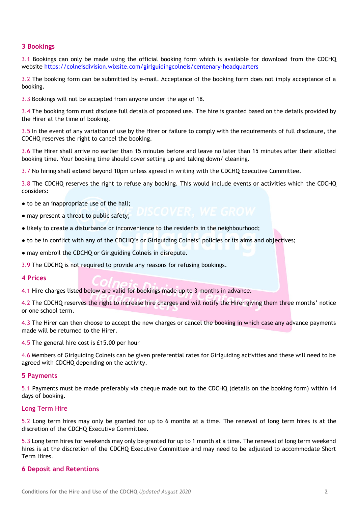# **3 Bookings**

3.1 Bookings can only be made using the official booking form which is available for download from the CDCHQ website<https://colneisdivision.wixsite.com/girlguidingcolneis/centenary-headquarters>

3.2 The booking form can be submitted by e-mail. Acceptance of the booking form does not imply acceptance of a booking.

3.3 Bookings will not be accepted from anyone under the age of 18.

3.4 The booking form must disclose full details of proposed use. The hire is granted based on the details provided by the Hirer at the time of booking.

3.5 In the event of any variation of use by the Hirer or failure to comply with the requirements of full disclosure, the CDCHQ reserves the right to cancel the booking.

3.6 The Hirer shall arrive no earlier than 15 minutes before and leave no later than 15 minutes after their allotted booking time. Your booking time should cover setting up and taking down/ cleaning.

3.7 No hiring shall extend beyond 10pm unless agreed in writing with the CDCHQ Executive Committee.

3.8 The CDCHQ reserves the right to refuse any booking. This would include events or activities which the CDCHQ considers:

- to be an inappropriate use of the hall:
- may present a threat to public safety;
- likely to create a disturbance or inconvenience to the residents in the neighbourhood;
- to be in conflict with any of the CDCHQ's or Girlguiding Colneis' policies or its aims and objectives;
- may embroil the CDCHQ or Girlguiding Colneis in disrepute.

3.9 The CDCHQ is not required to provide any reasons for refusing bookings.

#### **4 Prices**

4.1 Hire charges listed below are valid for bookings made up to 3 months in advance.

4.2 The CDCHQ reserves the right to increase hire charges and will notify the Hirer giving them three months' notice or one school term.

4.3 The Hirer can then choose to accept the new charges or cancel the booking in which case any advance payments made will be returned to the Hirer.

4.5 The general hire cost is £15.00 per hour

4.6 Members of Girlguiding Colneis can be given preferential rates for Girlguiding activities and these will need to be agreed with CDCHQ depending on the activity.

# **5 Payments**

5.1 Payments must be made preferably via cheque made out to the CDCHQ (details on the booking form) within 14 days of booking.

# Long Term Hire

5.2 Long term hires may only be granted for up to 6 months at a time. The renewal of long term hires is at the discretion of the CDCHQ Executive Committee.

5.3 Long term hires for weekends may only be granted for up to 1 month at a time. The renewal of long term weekend hires is at the discretion of the CDCHQ Executive Committee and may need to be adjusted to accommodate Short Term Hires.

# **6 Deposit and Retentions**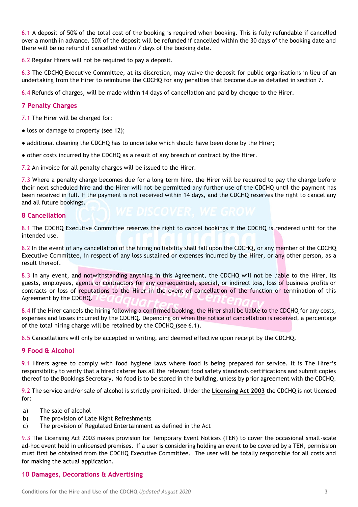6.1 A deposit of 50% of the total cost of the booking is required when booking. This is fully refundable if cancelled over a month in advance. 50% of the deposit will be refunded if cancelled within the 30 days of the booking date and there will be no refund if cancelled within 7 days of the booking date.

6.2 Regular Hirers will not be required to pay a deposit.

6.3 The CDCHQ Executive Committee, at its discretion, may waive the deposit for public organisations in lieu of an undertaking from the Hirer to reimburse the CDCHQ for any penalties that become due as detailed in section 7.

6.4 Refunds of charges, will be made within 14 days of cancellation and paid by cheque to the Hirer.

# **7 Penalty Charges**

7.1 The Hirer will be charged for:

- loss or damage to property (see 12);
- additional cleaning the CDCHQ has to undertake which should have been done by the Hirer;
- other costs incurred by the CDCHQ as a result of any breach of contract by the Hirer.

7.2 An invoice for all penalty charges will be issued to the Hirer.

7.3 Where a penalty charge becomes due for a long term hire, the Hirer will be required to pay the charge before their next scheduled hire and the Hirer will not be permitted any further use of the CDCHQ until the payment has been received in full. If the payment is not received within 14 days, and the CDCHQ reserves the right to cancel any and all future bookings.

# **8 Cancellation**

8.1 The CDCHQ Executive Committee reserves the right to cancel bookings if the CDCHQ is rendered unfit for the intended use.

8.2 In the event of any cancellation of the hiring no liability shall fall upon the CDCHQ, or any member of the CDCHQ Executive Committee, in respect of any loss sustained or expenses incurred by the Hirer, or any other person, as a result thereof.

8.3 In any event, and notwithstanding anything in this Agreement, the CDCHQ will not be liable to the Hirer, its guests, employees, agents or contractors for any consequential, special, or indirect loss, loss of business profits or contracts or loss of reputations to the Hirer in the event of cancellation of the function or termination of this Agreement by the CDCHQ.

8.4 If the Hirer cancels the hiring following a confirmed booking, the Hirer shall be liable to the CDCHQ for any costs, expenses and losses incurred by the CDCHQ. Depending on when the notice of cancellation is received, a percentage of the total hiring charge will be retained by the CDCHQ (see 6.1).

8.5 Cancellations will only be accepted in writing, and deemed effective upon receipt by the CDCHQ.

# **9 Food & Alcohol**

9.1 Hirers agree to comply with food hygiene laws where food is being prepared for service. It is The Hirer's responsibility to verify that a hired caterer has all the relevant food safety standards certifications and submit copies thereof to the Bookings Secretary. No food is to be stored in the building, unless by prior agreement with the CDCHQ.

9.2 The service and/or sale of alcohol is strictly prohibited. Under the **Licensing Act 2003** the CDCHQ is not licensed for:

- a) The sale of alcohol
- b) The provision of Late Night Refreshments
- c) The provision of Regulated Entertainment as defined in the Act

9.3 The Licensing Act 2003 makes provision for Temporary Event Notices (TEN) to cover the occasional small-scale ad-hoc event held in unlicensed premises. If a user is considering holding an event to be covered by a TEN, permission must first be obtained from the CDCHQ Executive Committee. The user will be totally responsible for all costs and for making the actual application.

# **10 Damages, Decorations & Advertising**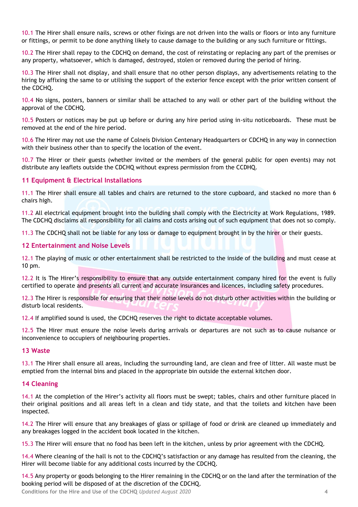10.1 The Hirer shall ensure nails, screws or other fixings are not driven into the walls or floors or into any furniture or fittings, or permit to be done anything likely to cause damage to the building or any such furniture or fittings.

10.2 The Hirer shall repay to the CDCHQ on demand, the cost of reinstating or replacing any part of the premises or any property, whatsoever, which is damaged, destroyed, stolen or removed during the period of hiring.

10.3 The Hirer shall not display, and shall ensure that no other person displays, any advertisements relating to the hiring by affixing the same to or utilising the support of the exterior fence except with the prior written consent of the CDCHQ.

10.4 No signs, posters, banners or similar shall be attached to any wall or other part of the building without the approval of the CDCHQ.

10.5 Posters or notices may be put up before or during any hire period using in-situ noticeboards. These must be removed at the end of the hire period.

10.6 The Hirer may not use the name of Colneis Division Centenary Headquarters or CDCHQ in any way in connection with their business other than to specify the location of the event.

10.7 The Hirer or their guests (whether invited or the members of the general public for open events) may not distribute any leaflets outside the CDCHQ without express permission from the CCDHQ.

# **11 Equipment & Electrical Installations**

11.1 The Hirer shall ensure all tables and chairs are returned to the store cupboard, and stacked no more than 6 chairs high.

11.2 All electrical equipment brought into the building shall comply with the Electricity at Work Regulations, 1989. The CDCHQ disclaims all responsibility for all claims and costs arising out of such equipment that does not so comply.

11.3 The CDCHQ shall not be liable for any loss or damage to equipment brought in by the hirer or their guests.

# **12 Entertainment and Noise Levels**

12.1 The playing of music or other entertainment shall be restricted to the inside of the building and must cease at 10 pm.

12.2 It is The Hirer's responsibility to ensure that any outside entertainment company hired for the event is fully certified to operate and presents all current and accurate insurances and licences, including safety procedures.

12.3 The Hirer is responsible for ensuring that their noise levels do not disturb other activities within the building or disturb local residents.

12.4 If amplified sound is used, the CDCHQ reserves the right to dictate acceptable volumes.

12.5 The Hirer must ensure the noise levels during arrivals or departures are not such as to cause nuisance or inconvenience to occupiers of neighbouring properties.

# **13 Waste**

13.1 The Hirer shall ensure all areas, including the surrounding land, are clean and free of litter. All waste must be emptied from the internal bins and placed in the appropriate bin outside the external kitchen door.

# **14 Cleaning**

14.1 At the completion of the Hirer's activity all floors must be swept; tables, chairs and other furniture placed in their original positions and all areas left in a clean and tidy state, and that the toilets and kitchen have been inspected.

14.2 The Hirer will ensure that any breakages of glass or spillage of food or drink are cleaned up immediately and any breakages logged in the accident book located in the kitchen.

15.3 The Hirer will ensure that no food has been left in the kitchen, unless by prior agreement with the CDCHQ.

14.4 Where cleaning of the hall is not to the CDCHQ's satisfaction or any damage has resulted from the cleaning, the Hirer will become liable for any additional costs incurred by the CDCHQ.

14.5 Any property or goods belonging to the Hirer remaining in the CDCHQ or on the land after the termination of the booking period will be disposed of at the discretion of the CDCHQ.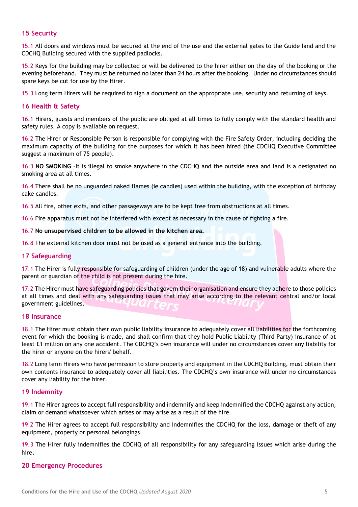# **15 Security**

15.1 All doors and windows must be secured at the end of the use and the external gates to the Guide land and the CDCHQ Building secured with the supplied padlocks.

15.2 Keys for the building may be collected or will be delivered to the hirer either on the day of the booking or the evening beforehand. They must be returned no later than 24 hours after the booking. Under no circumstances should spare keys be cut for use by the Hirer.

15.3 Long term Hirers will be required to sign a document on the appropriate use, security and returning of keys.

# **16 Health & Safety**

16.1 Hirers, guests and members of the public are obliged at all times to fully comply with the standard health and safety rules. A copy is available on request.

16.2 The Hirer or Responsible Person is responsible for complying with the Fire Safety Order, including deciding the maximum capacity of the building for the purposes for which it has been hired (the CDCHQ Executive Committee suggest a maximum of 75 people).

16.3 **NO SMOKING** –It is illegal to smoke anywhere in the CDCHQ and the outside area and land is a designated no smoking area at all times.

16.4 There shall be no unguarded naked flames (ie candles) used within the building, with the exception of birthday cake candles.

16.5 All fire, other exits, and other passageways are to be kept free from obstructions at all times.

16.6 Fire apparatus must not be interfered with except as necessary in the cause of fighting a fire.

#### 16.7 **No unsupervised children to be allowed in the kitchen area.**

16.8 The external kitchen door must not be used as a general entrance into the building.

#### **17 Safeguarding**

17.1 The Hirer is fully responsible for safeguarding of children (under the age of 18) and vulnerable adults where the parent or guardian of the child is not present during the hire.

17.2 The Hirer must have safeguarding policies that govern their organisation and ensure they adhere to those policies at all times and deal with any safeguarding issues that may arise according to the relevant central and/or local government guidelines.

#### **18 Insurance**

18.1 The Hirer must obtain their own public liability insurance to adequately cover all liabilities for the forthcoming event for which the booking is made, and shall confirm that they hold Public Liability (Third Party) insurance of at least £1 million on any one accident. The CDCHQ's own insurance will under no circumstances cover any liability for the hirer or anyone on the hirers' behalf.

18.2 Long term Hirers who have permission to store property and equipment in the CDCHQ Building, must obtain their own contents insurance to adequately cover all liabilities. The CDCHQ's own insurance will under no circumstances cover any liability for the hirer.

# **19 Indemnity**

19.1 The Hirer agrees to accept full responsibility and indemnify and keep indemnified the CDCHQ against any action, claim or demand whatsoever which arises or may arise as a result of the hire.

19.2 The Hirer agrees to accept full responsibility and indemnifies the CDCHQ for the loss, damage or theft of any equipment, property or personal belongings.

19.3 The Hirer fully indemnifies the CDCHQ of all responsibility for any safeguarding issues which arise during the hire.

#### **20 Emergency Procedures**